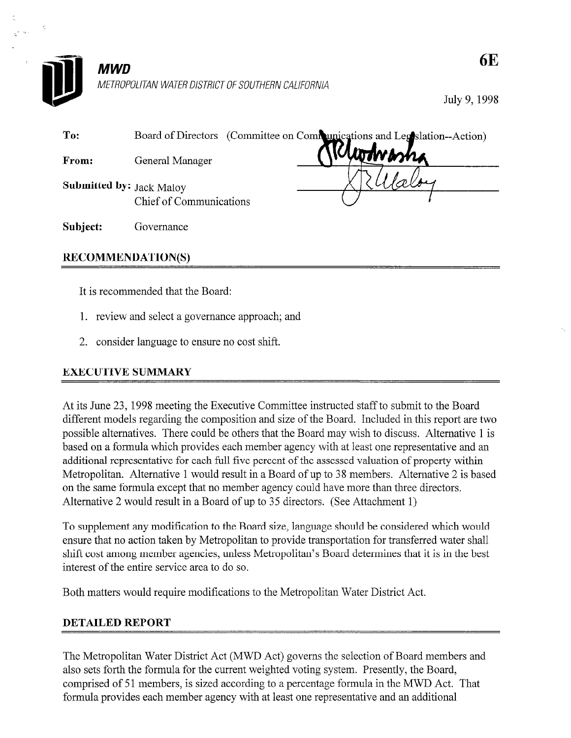

## **MWD** METROPOLITAN WATER DISTRICT OF SOUTHERN CALIFORNIA

July 9, 1998

| To:                             | Board of Directors (Committee on Communications and Legislation--Action) |  |  |  |  |  |
|---------------------------------|--------------------------------------------------------------------------|--|--|--|--|--|
| From:                           | otvasna<br>General Manager                                               |  |  |  |  |  |
| <b>Submitted by: Jack Maloy</b> | Chief of Communications                                                  |  |  |  |  |  |
| Subject:                        | Governance                                                               |  |  |  |  |  |
| <b>RECOMMENDATION(S)</b>        |                                                                          |  |  |  |  |  |

It is recommended that the Board:

- 1. review and select a governance approach; and
- 2. consider language to ensure no cost shift.

## EXECUTIVE SUMMARY

At its June 23, 1998 meeting the Executive Committee instructed staff to submit to the Board different models regarding the composition and size of the Board. Included in this report are two possible alternatives. There could be others that the Board may wish to discuss. Alternative 1 is based on a formula which provides each member agency with at least one representative and an additional representative for each full five percent of the assessed valuation of property within Metropolitan. Alternative 1 would result in a Board of up to 38 members. Alternative 2 is based on the same formula except that no member agency could have more than three directors. Alternative 2 would result in a Board of up to 35 directors. (See Attachment 1)

To supplement any modification to the Board size, language should be considered which would ensure that no action taken by Metropolitan to provide transportation for transferred water shall shift cost among member agencies, unless Metropolitan's Board determines that it is in the best interest of the entire service area to do so.

Both matters would require modifications to the Metropolitan Water District Act.

## DETAILED REPORT

The Metropolitan Water District Act (MWD Act) governs the selection of Board members and also sets forth the formula for the current weighted voting system. Presently, the Board, comprised of 51 members, is sized according to a percentage formula in the MWD Act. That formula provides each member agency with at least one representative and an additional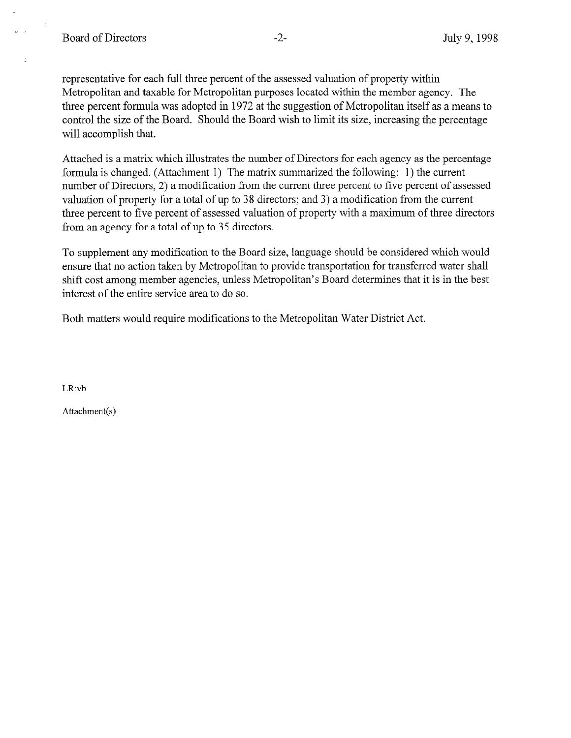representative for each full three percent of the assessed valuation of property within Metropolitan and taxable for Metropolitan purposes located within the member agency. The three percent formula was adopted in 1972 at the suggestion of Metropolitan itself as a means to control the size of the Board. Should the Board wish to limit its size, increasing the percentage will accomplish that.

Attached is a matrix which illustrates the number of Directors for each agency as the percentage formula is changed. (Attachment 1) The matrix summarized the following: 1) the current number of Directors, 2) a modification from the current three percent to five percent of assessed valuation of property for a total of up to 38 directors; and 3) a modification from the current three percent to five percent of assessed valuation of property with a maximum of three directors from an agency for a total of up to 35 directors.

To supplement any modification to the Board size, language should be considered which would ensure that no action taken by Metropolitan to provide transportation for transferred water shall shift cost among member agencies, unless Metropolitan's Board determines that it is in the best interest of the entire service area to do so.

Both matters would require modifications to the Metropolitan Water District Act.

LR:vb

Attachment(s)